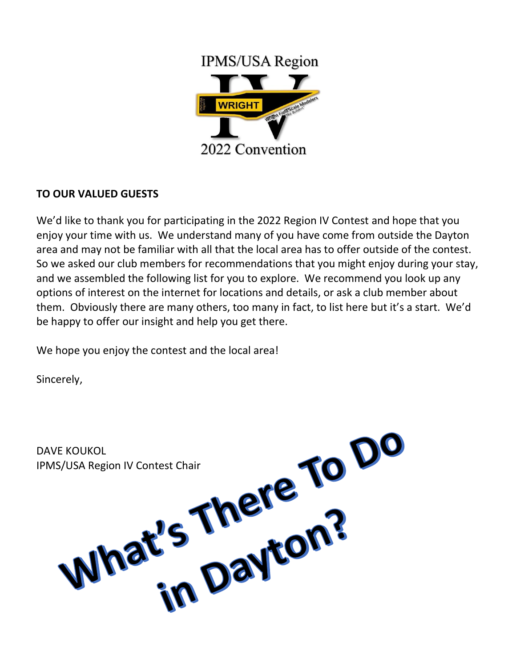

## **TO OUR VALUED GUESTS**

We'd like to thank you for participating in the 2022 Region IV Contest and hope that you enjoy your time with us. We understand many of you have come from outside the Dayton area and may not be familiar with all that the local area has to offer outside of the contest. So we asked our club members for recommendations that you might enjoy during your stay, and we assembled the following list for you to explore. We recommend you look up any options of interest on the internet for locations and details, or ask a club member about them. Obviously there are many others, too many in fact, to list here but it's a start. We'd be happy to offer our insight and help you get there.

We hope you enjoy the contest and the local area!

Sincerely,

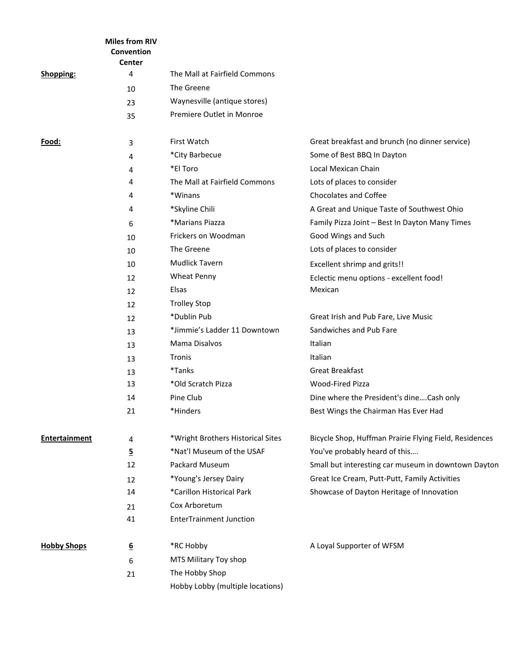|                      | <b>Miles from RIV</b><br>Convention<br><b>Center</b> |                                   |                                                        |
|----------------------|------------------------------------------------------|-----------------------------------|--------------------------------------------------------|
| <b>Shopping:</b>     | 4                                                    | The Mall at Fairfield Commons     |                                                        |
|                      | 10                                                   | The Greene                        |                                                        |
|                      | 23                                                   | Waynesville (antique stores)      |                                                        |
|                      | 35                                                   | Premiere Outlet in Monroe         |                                                        |
| Food:                | 3                                                    | First Watch                       | Great breakfast and brunch (no dinner service)         |
|                      | 4                                                    | *City Barbecue                    | Some of Best BBQ In Dayton                             |
|                      | 4                                                    | *El Toro                          | Local Mexican Chain                                    |
|                      | 4                                                    | The Mall at Fairfield Commons     | Lots of places to consider                             |
|                      | 4                                                    | *Winans                           | <b>Chocolates and Coffee</b>                           |
|                      | 4                                                    | *Skyline Chili                    | A Great and Unique Taste of Southwest Ohio             |
|                      | 6                                                    | *Marians Piazza                   | Family Pizza Joint - Best In Dayton Many Times         |
|                      | 10                                                   | Frickers on Woodman               | Good Wings and Such                                    |
|                      | 10                                                   | The Greene                        | Lots of places to consider                             |
|                      | 10                                                   | <b>Mudlick Tavern</b>             | Excellent shrimp and grits!!                           |
|                      | 12                                                   | <b>Wheat Penny</b>                | Eclectic menu options - excellent food!                |
|                      | 12                                                   | Elsas                             | Mexican                                                |
|                      | 12                                                   | <b>Trolley Stop</b>               |                                                        |
|                      | 12                                                   | *Dublin Pub                       | Great Irish and Pub Fare, Live Music                   |
|                      | 13                                                   | *Jimmie's Ladder 11 Downtown      | Sandwiches and Pub Fare                                |
|                      | 13                                                   | Mama Disalvos                     | Italian                                                |
|                      | 13                                                   | Tronis                            | Italian                                                |
|                      | 13                                                   | *Tanks                            | <b>Great Breakfast</b>                                 |
|                      | 13                                                   | *Old Scratch Pizza                | <b>Wood-Fired Pizza</b>                                |
|                      | 14                                                   | Pine Club                         | Dine where the President's dineCash only               |
|                      | 21                                                   | *Hinders                          | Best Wings the Chairman Has Ever Had                   |
| <b>Entertainment</b> | 4                                                    | *Wright Brothers Historical Sites | Bicycle Shop, Huffman Prairie Flying Field, Residences |
|                      | <u>5</u>                                             | *Nat'l Museum of the USAF         | You've probably heard of this                          |
|                      | 12                                                   | Packard Museum                    | Small but interesting car museum in downtown Dayton    |
|                      | 12                                                   | *Young's Jersey Dairy             | Great Ice Cream, Putt-Putt, Family Activities          |
|                      | 14                                                   | *Carillon Historical Park         | Showcase of Dayton Heritage of Innovation              |
|                      | 21                                                   | Cox Arboretum                     |                                                        |
|                      | 41                                                   | <b>EnterTrainment Junction</b>    |                                                        |
| <b>Hobby Shops</b>   | $6 \overline{6}$                                     | *RC Hobby                         | A Loyal Supporter of WFSM                              |
|                      | 6                                                    | MTS Military Toy shop             |                                                        |
|                      | 21                                                   | The Hobby Shop                    |                                                        |
|                      |                                                      | Hobby Lobby (multiple locations)  |                                                        |